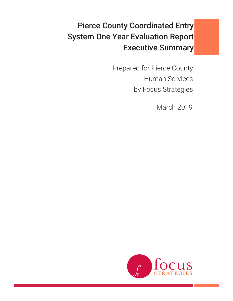# Pierce County Coordinated Entry System One Year Evaluation Report Executive Summary

Prepared for Pierce County Human Services by Focus Strategies

March 2019

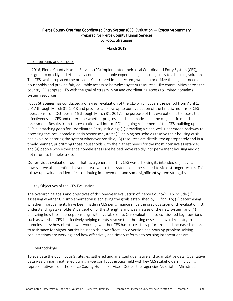## Pierce County One Year Coordinated Entry System (CES) Evaluation — Executive Summary Prepared for Pierce County Human Services by Focus Strategies

## March 2019

## I. Background and Purpose

In 2016, Pierce County Human Services (PC) implemented their local Coordinated Entry System (CES), designed to quickly and effectively connect all people experiencing a housing crisis to a housing solution. The CES, which replaced the previous Centralized Intake system, works to prioritize the highest-needs households and provide fair, equitable access to homeless system resources. Like communities across the country, PC adopted CES with the goal of streamlining and coordinating access to limited homeless system resources.

Focus Strategies has conducted a one-year evaluation of the CES which covers the period from April 1, 2017 through March 31, 2018 and provides a follow-up to our evaluation of the first six months of CES operations from October 2016 through March 31, 2017. The purpose of this evaluation is to assess the effectiveness of CES and determine whether progress has been made since the original six-month assessment. Results from this evaluation will inform PC's ongoing refinement of the CES, building upon PC's overarching goals for Coordinated Entry including: (1) providing a clear, well-understood pathway to accessing the local homeless crisis response system; (2) helping households resolve their housing crisis and avoid re-entering the system whenever possible; (3) resources are distributed appropriately and in a timely manner, prioritizing those households with the highest needs for the most intensive assistance; and (4) people who experience homelessness are helped move rapidly into permanent housing and do not return to homelessness.

Our previous evaluation found that, as a general matter, CES was achieving its intended objectives, however we also identified several areas where the system could be refined to yield stronger results. This follow-up evaluation identifies continuing improvement and some significant system strengths.

## II. Key Objectives of the CES Evaluation

The overarching goals and objectives of this one-year evaluation of Pierce County's CES include (1) assessing whether CES implementation is achieving the goals established by PC for CES; (2) determining whether improvements have been made in CES performance since the previous six-month evaluation; (3) understanding stakeholders' perception of the strengths and weaknesses of the new system, and (4) analyzing how those perceptions align with available data. Our evaluation also considered key questions such as whether CES is effectively helping clients resolve their housing crises and avoid re-entry to homelessness; how client flow is working; whether CES has successfully prioritized and increased access to assistance for higher-barrier households; how effectively diversion and housing problem-solving conversations are working; and how effectively and timely referrals to housing interventions are.

#### III. Methodology

To evaluate the CES, Focus Strategies gathered and analyzed qualitative and quantitative data. Qualitative data was primarily gathered during in-person focus groups held with key CES stakeholders, including representatives from the Pierce County Human Services; CES partner agencies Associated Ministries,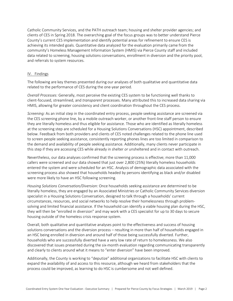Catholic Community Services, and the PATH outreach team; housing and shelter provider agencies; and clients of CES in Spring 2018. The overarching goal of the focus groups was to better understand Pierce County's current CES implementation and identify potential areas for refinement to ensure CES is achieving its intended goals. Quantitative data analyzed for the evaluation primarily came from the community's Homeless Management Information System (HMIS) via Pierce County staff and included data related to screening, housing solutions conversations, enrollment in diversion and the priority pool, and referrals to system resources.

#### IV. Findings

The following are key themes presented during our analyses of both qualitative and quantitative data related to the performance of CES during the one-year period.

*Overall Processes:* Generally, most perceive the existing CES system to be functioning well thanks to client-focused, streamlined, and *transparent* processes. Many attributed this to increased data sharing via HMIS, allowing for greater consistency and client coordination throughout the CES process.

*Screening:* As an initial step in the coordinated entry process, people seeking assistance are screened via the CES screening phone line, by a mobile outreach worker, or another front-line staff person to ensure they are literally homeless and thus eligible for assistance. Those who are identified as literally homeless at the screening step are scheduled for a Housing Solutions Conversations (HSC) appointment, described below. Feedback from both providers and clients of CES noted challenges related to the phone line used to screen people seeking assistance, consistently reporting phones lines are too limited in comparison to the demand and availability of people seeking assistance. Additionally, many clients never participate in this step if they are accessing CES while already in shelter *or* unsheltered and in contact with outreach.

Nevertheless, our data analyses confirmed that the screening process is effective; more than 11,000 callers were screened and our data showed that just over 2,800 (25%) literally homeless households entered the system and were scheduled for an HSC. Analysis of demographic data associated with the screening process also showed that households headed by persons identifying as black and/or disabled were more likely to have an HSC following screening.

*Housing Solutions Conversation/Diversion:* Once households seeking assistance are determined to be literally homeless, they are engaged by an Associated Ministries or Catholic Community Services diversion specialist in a Housing Solutions Conversation, designed to talk through a households' current circumstances, resources, and social networks to help resolve their homelessness through problemsolving and limited financial assistance. If the household can identify a viable housing plan during the HSC, they will then be "enrolled in diversion" and may work with a CES specialist for up to 30 days to secure housing outside of the homeless crisis response system.

Overall, both qualitative and quantitative analyses point to the effectiveness and success of housing solutions conversations and the diversion process – resulting in more than half of households engaged in an HSC being enrolled in diversion and around half of those being successfully diverted. Further, households who are successfully diverted have a very low rate of return to homelessness. We also discovered that issues presented during the six-month evaluation regarding communicating transparently and clearly to clients around what it means to "enter diversion" have been improved.

Additionally, the County is working to "deputize" additional organizations to facilitate HSC with clients to expand the availability of and access to this resource, although we heard from stakeholders that the process could be improved, as learning to do HSC is cumbersome and not well defined.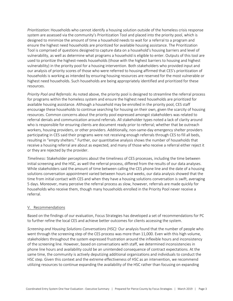*Prioritization:* Households who cannot identify a housing solution outside of the homeless crisis response system are assessed via the community's Prioritization Tool and placed into the priority pool, which is designed to minimize the amount of time a household needs to wait for a referral to a program and ensure the highest need households are prioritized for available housing assistance. The Prioritization Tool is comprised of questions designed to capture data on a household's housing barriers and level of vulnerability, as well as determine what programs a household is eligible to enter. Outputs of this tool are used to prioritize the highest-needs households (those with the highest barriers to housing and highest vulnerability) in the priority pool for a housing intervention. Both stakeholders who provided input and our analysis of priority scores of those who were referred to housing affirmed that CES's prioritization of households is working as intended by ensuring housing resources are reserved for the most vulnerable or highest need households. Such households are being appropriately identified and prioritized for these resources.

*Priority Pool and Referrals:* As noted above, the priority pool is designed to streamline the referral process for programs within the homeless system and ensure the highest need households are prioritized for available housing assistance. Although a household may be enrolled in the priority pool, CES staff encourage these households to continue searching for housing on their own, given the scarcity of housing resources. Common concerns about the priority pool expressed amongst stakeholders was related to referral denials and communication around referrals. All stakeholder types noted a lack of clarity around who is responsible for ensuring clients are document ready prior to referral; whether that be outreach workers, housing providers, or other providers. Additionally, non-same-day emergency shelter providers participating in CES said their programs were not receiving enough referrals through CES to fill all beds, resulting in "empty shelters." Further, our quantitative analysis shows the number of households that receive a housing referral are about as expected, and many of those who receive a referral either reject it or they are rejected by the provider.

*Timeliness:* Stakeholder perceptions about the timeliness of CES processes, including the time between initial screening and the HSC, as well the referral process, differed from the results of our data analyses. While stakeholders said the amount of time between calling the CES phone line and the date of a housing solutions conversation appointment varied between hours and weeks, our data analysis showed that the time from initial contact with CES and when they have a housing solutions conversation is swift, averaging 5 days. Moreover, many perceive the referral process as slow, however, referrals are made quickly for households who receive them, though many households enrolled in the Priority Pool never receive a referral.

#### V. Recommendations

Based on the findings of our evaluation, Focus Strategies has developed a set of recommendations for PC to further refine the local CES and achieve better outcomes for clients accessing the system.

*Screening and Housing Solutions Conversations (HSC):* Our analysis found that the number of people who went through the screening step of the CES process was more than 11,000. Even with this high volume, stakeholders throughout the system expressed frustration around the inflexible hours and inconsistency of the screening line. However, based on conversations with staff, we determined inconsistencies in phone line hours and availability could be an unintended consequence of contract expectations. At the same time, the community is actively deputizing additional organizations and individuals to conduct the HSC step. Given this context and the extreme effectiveness of HSC as an intervention, we recommend utilizing resources to continue expanding the availability of the HSC rather than focusing on expanding